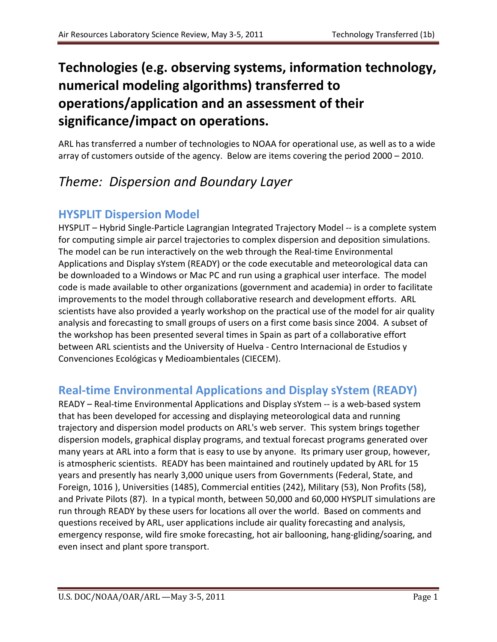# **Technologies (e.g. observing systems, information technology, numerical modeling algorithms) transferred to operations/application and an assessment of their significance/impact on operations.**

ARL has transferred a number of technologies to NOAA for operational use, as well as to a wide array of customers outside of the agency. Below are items covering the period 2000 – 2010.

# *Theme: Dispersion and Boundary Layer*

#### **HYSPLIT Dispersion Model**

HYSPLIT – Hybrid Single-Particle Lagrangian Integrated Trajectory Model -- is a complete system for computing simple air parcel trajectories to complex dispersion and deposition simulations. The model can be run interactively on the web through the Real-time Environmental Applications and Display sYstem (READY) or the code executable and meteorological data can be downloaded to a Windows or Mac PC and run using a graphical user interface. The model code is made available to other organizations (government and academia) in order to facilitate improvements to the model through collaborative research and development efforts. ARL scientists have also provided a yearly workshop on the practical use of the model for air quality analysis and forecasting to small groups of users on a first come basis since 2004. A subset of the workshop has been presented several times in Spain as part of a collaborative effort between ARL scientists and the University of Huelva - Centro Internacional de Estudios y Convenciones Ecológicas y Medioambientales (CIECEM).

### **Real-time Environmental Applications and Display sYstem (READY)**

READY – Real-time Environmental Applications and Display sYstem -- is a web-based system that has been developed for accessing and displaying meteorological data and running trajectory and dispersion model products on ARL's web server. This system brings together dispersion models, graphical display programs, and textual forecast programs generated over many years at ARL into a form that is easy to use by anyone. Its primary user group, however, is atmospheric scientists. READY has been maintained and routinely updated by ARL for 15 years and presently has nearly 3,000 unique users from Governments (Federal, State, and Foreign, 1016 ), Universities (1485), Commercial entities (242), Military (53), Non Profits (58), and Private Pilots (87). In a typical month, between 50,000 and 60,000 HYSPLIT simulations are run through READY by these users for locations all over the world. Based on comments and questions received by ARL, user applications include air quality forecasting and analysis, emergency response, wild fire smoke forecasting, hot air ballooning, hang-gliding/soaring, and even insect and plant spore transport.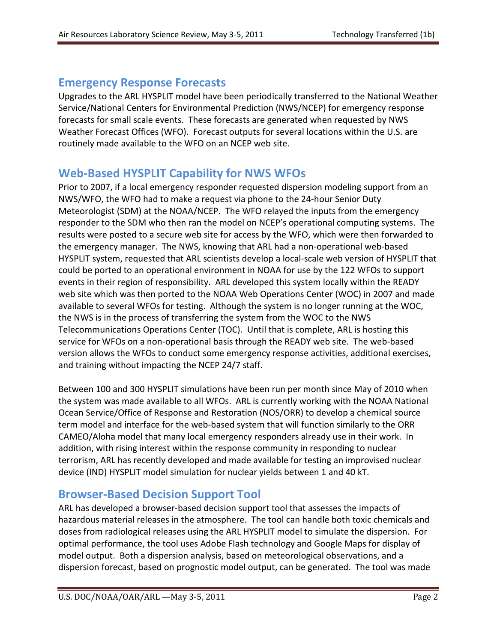#### **Emergency Response Forecasts**

Upgrades to the ARL HYSPLIT model have been periodically transferred to the National Weather Service/National Centers for Environmental Prediction (NWS/NCEP) for emergency response forecasts for small scale events. These forecasts are generated when requested by NWS Weather Forecast Offices (WFO). Forecast outputs for several locations within the U.S. are routinely made available to the WFO on an NCEP web site.

#### **Web-Based HYSPLIT Capability for NWS WFOs**

Prior to 2007, if a local emergency responder requested dispersion modeling support from an NWS/WFO, the WFO had to make a request via phone to the 24-hour Senior Duty Meteorologist (SDM) at the NOAA/NCEP. The WFO relayed the inputs from the emergency responder to the SDM who then ran the model on NCEP's operational computing systems. The results were posted to a secure web site for access by the WFO, which were then forwarded to the emergency manager. The NWS, knowing that ARL had a non-operational web-based HYSPLIT system, requested that ARL scientists develop a local-scale web version of HYSPLIT that could be ported to an operational environment in NOAA for use by the 122 WFOs to support events in their region of responsibility. ARL developed this system locally within the READY web site which was then ported to the NOAA Web Operations Center (WOC) in 2007 and made available to several WFOs for testing. Although the system is no longer running at the WOC, the NWS is in the process of transferring the system from the WOC to the NWS Telecommunications Operations Center (TOC). Until that is complete, ARL is hosting this service for WFOs on a non-operational basis through the READY web site. The web-based version allows the WFOs to conduct some emergency response activities, additional exercises, and training without impacting the NCEP 24/7 staff.

Between 100 and 300 HYSPLIT simulations have been run per month since May of 2010 when the system was made available to all WFOs. ARL is currently working with the NOAA National Ocean Service/Office of Response and Restoration (NOS/ORR) to develop a chemical source term model and interface for the web-based system that will function similarly to the ORR CAMEO/Aloha model that many local emergency responders already use in their work. In addition, with rising interest within the response community in responding to nuclear terrorism, ARL has recently developed and made available for testing an improvised nuclear device (IND) HYSPLIT model simulation for nuclear yields between 1 and 40 kT.

#### **Browser-Based Decision Support Tool**

ARL has developed a browser-based decision support tool that assesses the impacts of hazardous material releases in the atmosphere. The tool can handle both toxic chemicals and doses from radiological releases using the ARL HYSPLIT model to simulate the dispersion. For optimal performance, the tool uses Adobe Flash technology and Google Maps for display of model output. Both a dispersion analysis, based on meteorological observations, and a dispersion forecast, based on prognostic model output, can be generated. The tool was made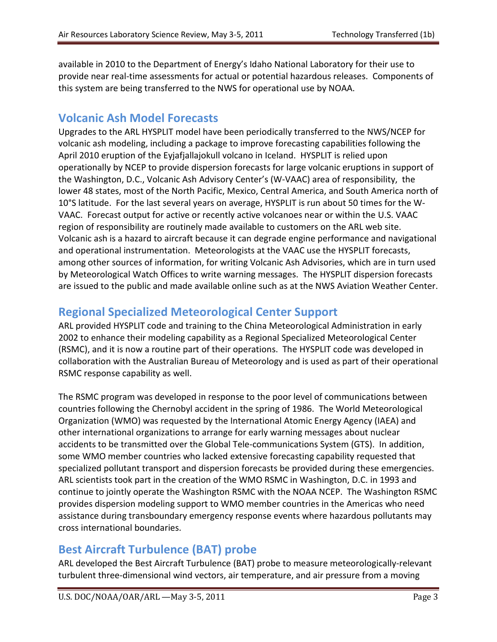available in 2010 to the Department of Energy's Idaho National Laboratory for their use to provide near real-time assessments for actual or potential hazardous releases. Components of this system are being transferred to the NWS for operational use by NOAA.

#### **Volcanic Ash Model Forecasts**

Upgrades to the ARL HYSPLIT model have been periodically transferred to the NWS/NCEP for volcanic ash modeling, including a package to improve forecasting capabilities following the April 2010 eruption of the Eyjafjallajokull volcano in Iceland. HYSPLIT is relied upon operationally by NCEP to provide dispersion forecasts for large volcanic eruptions in support of the Washington, D.C., Volcanic Ash Advisory Center's (W-VAAC) area of responsibility, the lower 48 states, most of the North Pacific, Mexico, Central America, and South America north of 10°S latitude. For the last several years on average, HYSPLIT is run about 50 times for the W-VAAC. Forecast output for active or recently active volcanoes near or within the U.S. VAAC region of responsibility are routinely made available to customers on the ARL web site. Volcanic ash is a hazard to aircraft because it can degrade engine performance and navigational and operational instrumentation. Meteorologists at the VAAC use the HYSPLIT forecasts, among other sources of information, for writing Volcanic Ash Advisories, which are in turn used by Meteorological Watch Offices to write warning messages. The HYSPLIT dispersion forecasts are issued to the public and made available online such as at the NWS [Aviation Weather Center.](http://aviationweather.gov/iffdp/volc.php)

### **Regional Specialized Meteorological Center Support**

ARL provided HYSPLIT code and training to the China Meteorological Administration in early 2002 to enhance their modeling capability as a Regional Specialized Meteorological Center (RSMC), and it is now a routine part of their operations. The HYSPLIT code was developed in collaboration with the Australian Bureau of Meteorology and is used as part of their operational RSMC response capability as well.

The RSMC program was developed in response to the poor level of communications between countries following the Chernobyl accident in the spring of 1986. The [World Meteorological](http://www.wmo.ch/)  [Or](http://www.wmo.ch/)ganization (WMO) was requested by th[e International Atomic Energy Agency \(IAEA\)](http://www.iaea.org/) and other international organizations to arrange for early warning messages about nuclear accidents to be transmitted over the Global Tele-communications System (GTS). In addition, some WMO member countries who lacked extensive forecasting capability requested that specialized pollutant transport and dispersion forecasts be provided during these emergencies. ARL scientists took part in the creation of the WMO RSMC in Washington, D.C. in 1993 and continue to jointly operate the Washington RSMC with the NOAA NCEP. The Washington RSMC provides dispersion modeling support to WMO member countries in the Americas who need assistance during transboundary emergency response events where hazardous pollutants may cross international boundaries.

### **Best Aircraft Turbulence (BAT) probe**

ARL developed the Best Aircraft Turbulence (BAT) probe to measure meteorologically-relevant turbulent three-dimensional wind vectors, air temperature, and air pressure from a moving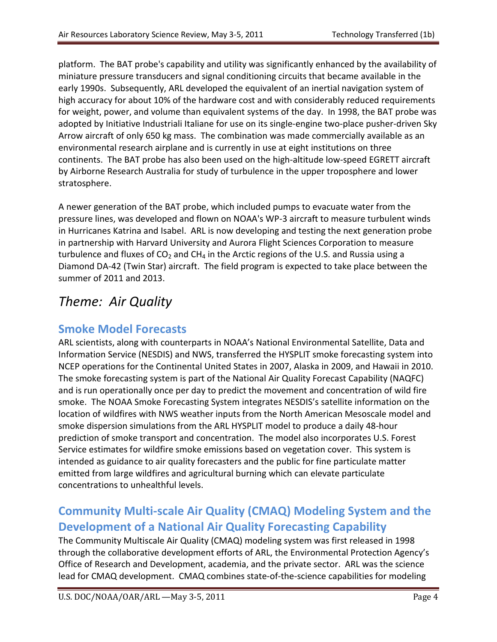platform. The BAT probe's capability and utility was significantly enhanced by the availability of miniature pressure transducers and signal conditioning circuits that became available in the early 1990s. Subsequently, ARL developed the equivalent of an inertial navigation system of high accuracy for about 10% of the hardware cost and with considerably reduced requirements for weight, power, and volume than equivalent systems of the day. In 1998, the BAT probe was adopted by Initiative Industriali Italiane for use on its single-engine two-place pusher-driven Sky Arrow aircraft of only 650 kg mass. The combination was made commercially available as an environmental research airplane and is currently in use at eight institutions on three continents. The BAT probe has also been used on the high-altitude low-speed EGRETT aircraft by Airborne Research Australia for study of turbulence in the upper troposphere and lower stratosphere.

A newer generation of the BAT probe, which included pumps to evacuate water from the pressure lines, was developed and flown on NOAA's WP-3 aircraft to measure turbulent winds in Hurricanes Katrina and Isabel. ARL is now developing and testing the next generation probe in partnership with Harvard University and Aurora Flight Sciences Corporation to measure turbulence and fluxes of  $CO<sub>2</sub>$  and CH<sub>4</sub> in the Arctic regions of the U.S. and Russia using a Diamond DA-42 (Twin Star) aircraft. The field program is expected to take place between the summer of 2011 and 2013.

# *Theme: Air Quality*

## **Smoke Model Forecasts**

ARL scientists, along with counterparts in NOAA's [National Environmental Satellite, Data and](http://www.nesdis.noaa.gov/)  [Information Service](http://www.nesdis.noaa.gov/) (NESDIS) and NWS, transferred the HYSPLIT smoke forecasting system into NCEP operations for the Continental United States in 2007, Alaska in 2009, and Hawaii in 2010. The smoke forecasting system is part of the National Air Quality Forecast Capability (NAQFC) and is run operationally once per day to predict the movement and concentration of wild fire smoke. The NOAA Smoke Forecasting System integrates NESDIS's satellite information on the location of wildfires with [NWS](http://www.nws.noaa.gov/) weather inputs from the North American Mesoscale model and smoke dispersion simulations from the ARL [HYSPLIT](http://www.arl.noaa.gov/HYSPLIT_info.php) model to produce a daily 48-hour prediction of smoke transport and concentration. The model also incorporates U.S. Forest Service estimates for wildfire smoke emissions based on vegetation cover. This system is intended as guidance to air quality forecasters and the public for fine particulate matter emitted from large wildfires and agricultural burning which can elevate particulate concentrations to unhealthful levels.

## **Community Multi-scale Air Quality (CMAQ) Modeling System and the Development of a National Air Quality Forecasting Capability**

The Community Multiscale Air Quality (CMAQ) modeling system was first released in 1998 through the collaborative development efforts of ARL, the Environmental Protection Agency's Office of Research and Development, academia, and the private sector. ARL was the science lead for CMAQ development. CMAQ combines state-of-the-science capabilities for modeling